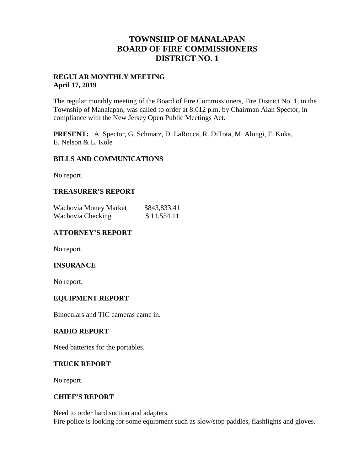# **TOWNSHIP OF MANALAPAN BOARD OF FIRE COMMISSIONERS DISTRICT NO. 1**

### **REGULAR MONTHLY MEETING April 17, 2019**

The regular monthly meeting of the Board of Fire Commissioners, Fire District No. 1, in the Township of Manalapan, was called to order at 8:012 p.m. by Chairman Alan Spector, in compliance with the New Jersey Open Public Meetings Act.

**PRESENT:** A. Spector, G. Schmatz, D. LaRocca, R. DiTota, M. Alongi, F. Kuka, E. Nelson & L. Kole

### **BILLS AND COMMUNICATIONS**

No report.

## **TREASURER'S REPORT**

| Wachovia Money Market | \$843,833.41 |  |
|-----------------------|--------------|--|
| Wachovia Checking     | \$11,554.11  |  |

## **ATTORNEY'S REPORT**

No report.

### **INSURANCE**

No report.

### **EQUIPMENT REPORT**

Binoculars and TIC cameras came in.

### **RADIO REPORT**

Need batteries for the portables.

### **TRUCK REPORT**

No report.

### **CHIEF'S REPORT**

Need to order hard suction and adapters. Fire police is looking for some equipment such as slow/stop paddles, flashlights and gloves.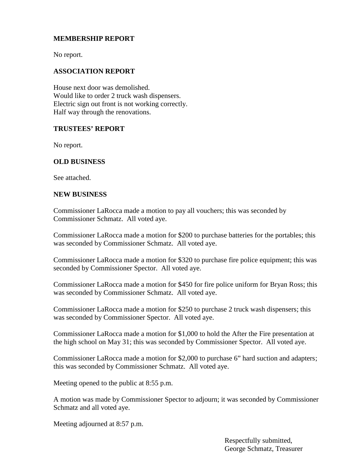## **MEMBERSHIP REPORT**

No report.

## **ASSOCIATION REPORT**

House next door was demolished. Would like to order 2 truck wash dispensers. Electric sign out front is not working correctly. Half way through the renovations.

#### **TRUSTEES' REPORT**

No report.

## **OLD BUSINESS**

See attached.

#### **NEW BUSINESS**

Commissioner LaRocca made a motion to pay all vouchers; this was seconded by Commissioner Schmatz. All voted aye.

Commissioner LaRocca made a motion for \$200 to purchase batteries for the portables; this was seconded by Commissioner Schmatz. All voted aye.

Commissioner LaRocca made a motion for \$320 to purchase fire police equipment; this was seconded by Commissioner Spector. All voted aye.

Commissioner LaRocca made a motion for \$450 for fire police uniform for Bryan Ross; this was seconded by Commissioner Schmatz. All voted aye.

Commissioner LaRocca made a motion for \$250 to purchase 2 truck wash dispensers; this was seconded by Commissioner Spector. All voted aye.

Commissioner LaRocca made a motion for \$1,000 to hold the After the Fire presentation at the high school on May 31; this was seconded by Commissioner Spector. All voted aye.

Commissioner LaRocca made a motion for \$2,000 to purchase 6" hard suction and adapters; this was seconded by Commissioner Schmatz. All voted aye.

Meeting opened to the public at 8:55 p.m.

A motion was made by Commissioner Spector to adjourn; it was seconded by Commissioner Schmatz and all voted aye.

Meeting adjourned at 8:57 p.m.

Respectfully submitted, George Schmatz, Treasurer